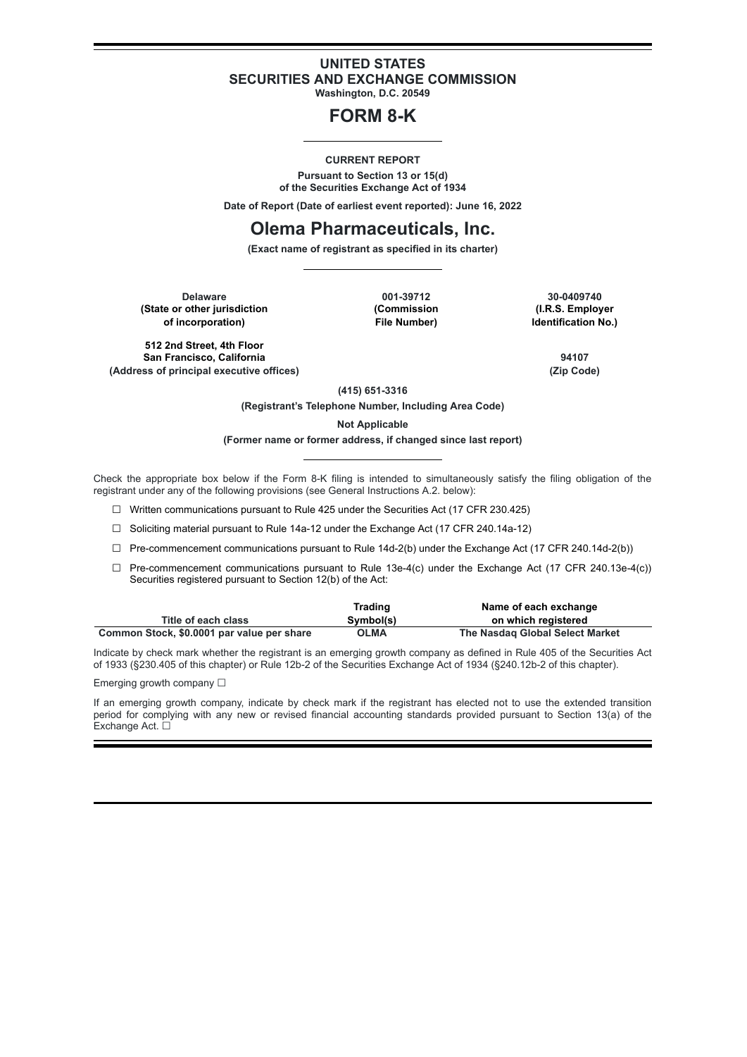## **UNITED STATES SECURITIES AND EXCHANGE COMMISSION**

**Washington, D.C. 20549**

# **FORM 8-K**

### **CURRENT REPORT**

**Pursuant to Section 13 or 15(d) of the Securities Exchange Act of 1934**

**Date of Report (Date of earliest event reported): June 16, 2022**

## **Olema Pharmaceuticals, Inc.**

**(Exact name of registrant as specified in its charter)**

**Delaware 001-39712 30-0409740 (State or other jurisdiction <b>being in the Commission (Commission of incorporation) File Number) Identification No.)**

**512 2nd Street, 4th Floor San Francisco, California 94107 (Address of principal executive offices) (Zip Code)**

**(415) 651-3316**

**(Registrant's Telephone Number, Including Area Code)**

**Not Applicable**

#### **(Former name or former address, if changed since last report)**

Check the appropriate box below if the Form 8-K filing is intended to simultaneously satisfy the filing obligation of the registrant under any of the following provisions (see General Instructions A.2. below):

☐ Written communications pursuant to Rule 425 under the Securities Act (17 CFR 230.425)

☐ Soliciting material pursuant to Rule 14a-12 under the Exchange Act (17 CFR 240.14a-12)

 $\Box$  Pre-commencement communications pursuant to Rule 14d-2(b) under the Exchange Act (17 CFR 240.14d-2(b))

 $\Box$  Pre-commencement communications pursuant to Rule 13e-4(c) under the Exchange Act (17 CFR 240.13e-4(c)) Securities registered pursuant to Section 12(b) of the Act:

|                                            | Trading   | Name of each exchange           |
|--------------------------------------------|-----------|---------------------------------|
| Title of each class                        | Symbol(s) | on which registered             |
| Common Stock, \$0.0001 par value per share | OLMA      | The Nasdag Global Select Market |

Indicate by check mark whether the registrant is an emerging growth company as defined in Rule 405 of the Securities Act of 1933 (§230.405 of this chapter) or Rule 12b-2 of the Securities Exchange Act of 1934 (§240.12b-2 of this chapter).

Emerging growth company  $\Box$ 

If an emerging growth company, indicate by check mark if the registrant has elected not to use the extended transition period for complying with any new or revised financial accounting standards provided pursuant to Section 13(a) of the Exchange Act. □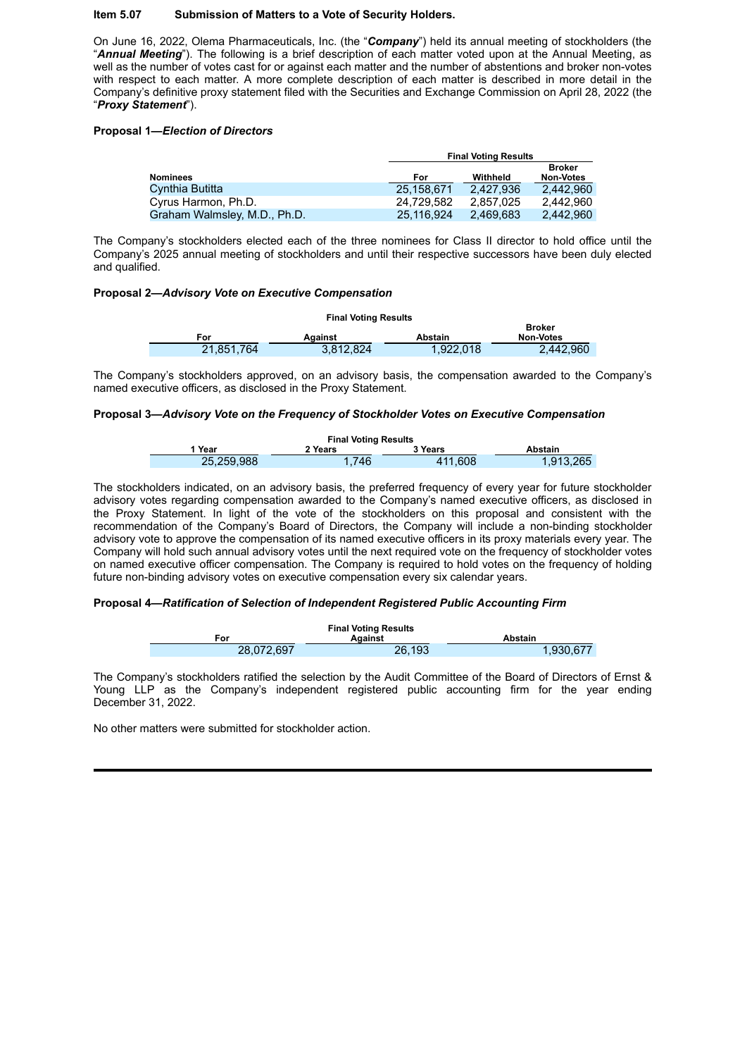## **Item 5.07 Submission of Matters to a Vote of Security Holders.**

On June 16, 2022, Olema Pharmaceuticals, Inc. (the "*Company*") held its annual meeting of stockholders (the "*Annual Meeting*"). The following is a brief description of each matter voted upon at the Annual Meeting, as well as the number of votes cast for or against each matter and the number of abstentions and broker non-votes with respect to each matter. A more complete description of each matter is described in more detail in the Company's definitive proxy statement filed with the Securities and Exchange Commission on April 28, 2022 (the "*Proxy Statement*").

## **Proposal 1—***Election of Directors*

|                              |            | <b>Final Voting Results</b> |                                   |  |
|------------------------------|------------|-----------------------------|-----------------------------------|--|
| <b>Nominees</b>              | For        | Withheld                    | <b>Broker</b><br><b>Non-Votes</b> |  |
| Cynthia Butitta              | 25.158.671 | 2.427.936                   | 2.442.960                         |  |
| Cyrus Harmon, Ph.D.          | 24.729.582 | 2.857.025                   | 2.442.960                         |  |
| Graham Walmsley, M.D., Ph.D. | 25.116.924 | 2.469.683                   | 2.442.960                         |  |

The Company's stockholders elected each of the three nominees for Class II director to hold office until the Company's 2025 annual meeting of stockholders and until their respective successors have been duly elected and qualified.

## **Proposal 2—***Advisory Vote on Executive Compensation*

| <b>Final Voting Results</b> |            |           |           |                  |  |  |  |
|-----------------------------|------------|-----------|-----------|------------------|--|--|--|
|                             | Broker     |           |           |                  |  |  |  |
|                             | For        | Against   | Abstain   | <b>Non-Votes</b> |  |  |  |
|                             | 21.851.764 | 3.812.824 | 1.922.018 | 2.442.960        |  |  |  |

The Company's stockholders approved, on an advisory basis, the compensation awarded to the Company's named executive officers, as disclosed in the Proxy Statement.

## **Proposal 3—***Advisory Vote on the Frequency of Stockholder Votes on Executive Compensation*

| <b>Final Voting Results</b> |         |         |           |  |  |  |  |
|-----------------------------|---------|---------|-----------|--|--|--|--|
| l Year                      | 2 Years | 3 Years | Abstain   |  |  |  |  |
| 25.259.988                  | 1.746   | 411,608 | 1,913,265 |  |  |  |  |

The stockholders indicated, on an advisory basis, the preferred frequency of every year for future stockholder advisory votes regarding compensation awarded to the Company's named executive officers, as disclosed in the Proxy Statement. In light of the vote of the stockholders on this proposal and consistent with the recommendation of the Company's Board of Directors, the Company will include a non-binding stockholder advisory vote to approve the compensation of its named executive officers in its proxy materials every year. The Company will hold such annual advisory votes until the next required vote on the frequency of stockholder votes on named executive officer compensation. The Company is required to hold votes on the frequency of holding future non-binding advisory votes on executive compensation every six calendar years.

#### **Proposal 4—***Ratification of Selection of Independent Registered Public Accounting Firm*



The Company's stockholders ratified the selection by the Audit Committee of the Board of Directors of Ernst & Young LLP as the Company's independent registered public accounting firm for the year ending December 31, 2022.

No other matters were submitted for stockholder action.